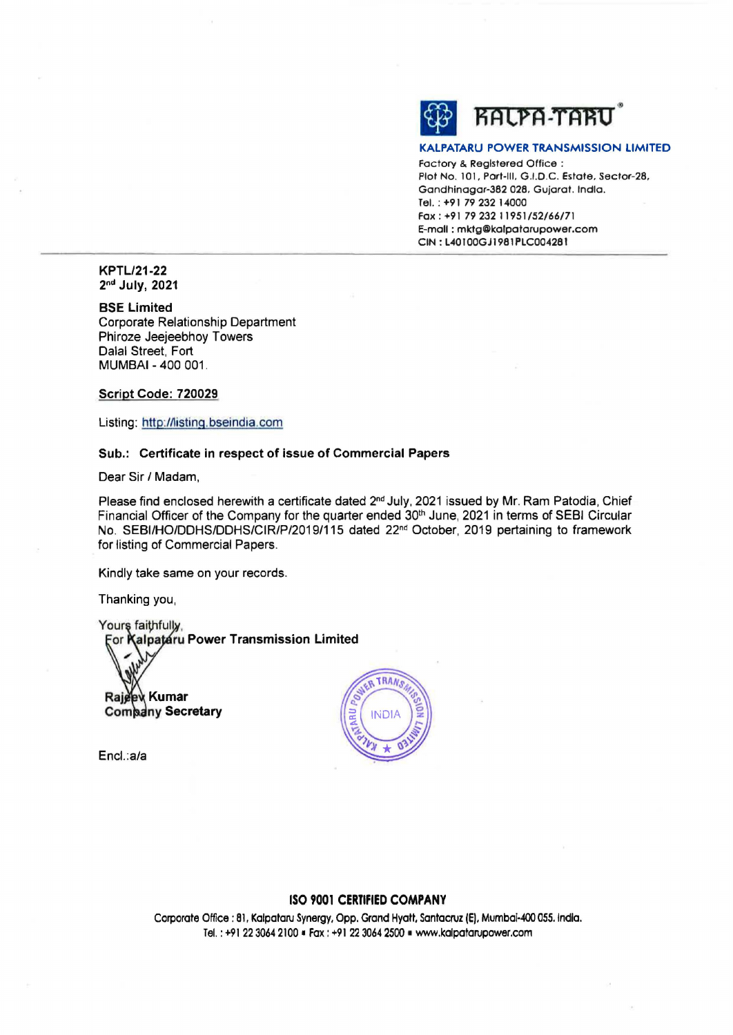

#### **KALPATARU POWER TRANSMISSION** LIMITED

Factory & Registered Office : Plot No. 101, Port-Ill, G.1.0.C. Estate, Sector-28, Gandhinagar-382 028, Gujarat. lndla. Tel. : **+91 79 232** 14000 **Fax: +91** *79* **232 11951/52/66/71**  E-mall : **mldg@lcolpotorupower.com CIN: L40I00GJl981PLC004281** 

**KPTL/21-22 2nd July, 2021** 

**BSE Limited**  Corporate Relationship Department Phiroze Jeejeebhoy Towers Dalal Street, Fort **MUMBAI** - 400 001 .

**Script Code: 720029** 

Listing: http://listing.bseindia.com

#### **Sub.: Certificate in respect of issue of Commercial Papers**

Dear Sir/ Madam,

Please find enclosed herewith a certificate dated 2<sup>nd</sup> July, 2021 issued by Mr. Ram Patodia, Chief Financial Officer of the Company for the quarter ended 30<sup>th</sup> June, 2021 in terms of SEBI Circular No. SEBI/HO/DDHS/DDHS/CIR/P/2019/115 dated 22<sup>nd</sup> October, 2019 pertaining to framework for listing of Commercial Papers.

TRANS

Kindly take same on your records.

Thanking you,

Yours faithfully<br>For **Kalpataru Power Transmission Limited** 

Rajeew Kumar **Company Secretary** 

Encl.:a/a

### **ISO 9001 CERTIFIED COMPANY**

Corporate Office : 81, Kalpataru Synergy, Opp, Grand Hyatt, Santacruz **(E).** Mumbai-400 055. lndla. Tel.: +91223064 2100 •Fax: +91223064 2500 ■ www.kalpatarupower.com